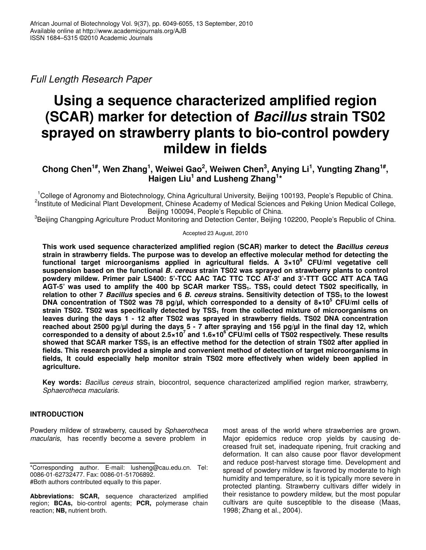*Full Length Research Paper*

# **Using a sequence characterized amplified region (SCAR) marker for detection of** *Bacillus* **strain TS02 sprayed on strawberry plants to bio-control powdery mildew in fields**

# Chong Chen<sup>1#</sup>, Wen Zhang<sup>1</sup>, Weiwei Gao<sup>2</sup>, Weiwen Chen<sup>3</sup>, Anying Li<sup>1</sup>, Yungting Zhang<sup>1#</sup>, **Haigen Liu 1 and Lusheng Zhang 1 \***

<sup>1</sup>College of Agronomy and Biotechnology, China Agricultural University, Beijing 100193, People's Republic of China. <sup>2</sup>Institute of Medicinal Plant Development, Chinese Academy of Medical Sciences and Peking Union Medical College, Beijing 100094, People's Republic of China.

<sup>3</sup>Beijing Changping Agriculture Product Monitoring and Detection Center, Beijing 102200, People's Republic of China.

#### Accepted 23 August, 2010

**This work used sequence characterized amplified region (SCAR) marker to detect the** *Bacillus cereus* **strain in strawberry fields. The purpose was to develop an effective molecular method for detecting the functional target microorganisms applied in agricultural fields. A 3×10 <sup>9</sup> CFU/ml vegetative cell suspension based on the functional** *B. cereus* **strain TS02 was sprayed on strawberry plants to control powdery mildew. Primer pair LS400: 5'-TCC AAC TAC TTC TCC AT-3'and 3'-TTT GCC ATT ACA TAG** AGT-5' was used to amplify the 400 bp SCAR marker TSS<sub>1</sub>. TSS<sub>1</sub> could detect TS02 specifically, in relation to other 7 Bacillus species and 6 B. cereus strains. Sensitivity detection of  $TSS<sub>1</sub>$  to the lowest **DNA concentration of TS02 was 78 pg/µl, which corresponded to a density of 8×10 <sup>5</sup> CFU/ml cells of strain TS02. TS02 was specifically detected by TSS<sup>1</sup> from the collected mixture of microorganisms on leaves during the days 1 - 12 after TS02 was sprayed in strawberry fields. TS02 DNA concentration** reached about 2500 pg/ul during the days 5 - 7 after spraying and 156 pg/ul in the final day 12, which corresponded to a density of about 2.5×10<sup>7</sup> and 1.6×10<sup>6</sup> CFU/ml cells of TS02 respectively. These results showed that SCAR marker TSS<sub>1</sub> is an effective method for the detection of strain TS02 after applied in **fields. This research provided a simple and convenient method of detection of target microorganisms in fields, It could especially help monitor strain TS02 more effectively when widely been applied in agriculture.**

**Key words:** *Bacillus cereus* strain, biocontrol, sequence characterized amplified region marker, strawberry, *Sphaerotheca macularis.*

# **INTRODUCTION**

Powdery mildew of strawberry, caused by *Sphaerotheca macularis*, has recently become a severe problem in

most areas of the world where strawberries are grown. Major epidemics reduce crop yields by causing decreased fruit set, inadequate ripening, fruit cracking and deformation. It can also cause poor flavor development and reduce post-harvest storage time. Development and spread of powdery mildew is favored by moderate to high humidity and temperature, so it is typically more severe in protected planting. Strawberry cultivars differ widely in their resistance to powdery mildew, but the most popular cultivars are quite susceptible to the disease (Maas, 1998; Zhang et al., 2004).

<sup>\*</sup>Corresponding author. E-mail: lusheng@cau.edu.cn. Tel: 0086-01-62732477. Fax: 0086-01-51706892. #Both authors contributed equally to this paper.

**Abbreviations: SCAR,** sequence characterized amplified region; **BCAs,** bio-control agents; **PCR,** polymerase chain reaction; **NB,** nutrient broth.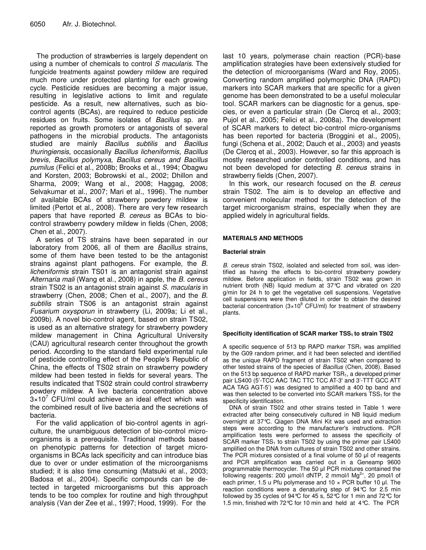The production of strawberries is largely dependent on using a number of chemicals to control *S macularis*. The fungicide treatments against powdery mildew are required much more under protected planting for each growing cycle. Pesticide residues are becoming a major issue, resulting in legislative actions to limit and regulate pesticide. As a result, new alternatives, such as biocontrol agents (BCAs), are required to reduce pesticide residues on fruits. Some isolates of *Bacillus* sp. are reported as growth promoters or antagonists of several pathogens in the microbial products. The antagonists studied are mainly *Bacillus subtilis* and *Bacillus thuringiensis*, occasionally *Bacillus licheniformis, Bacillus brevis, Bacillus polymyxa, Bacillus cereus and Bacillus pumilus* (Felici et al., 2008b; Brooks et al., 1994; Obagwu and Korsten, 2003; Bobrowski et al., 2002; Dhillon and Sharma, 2009; Wang et al., 2008; Haggag, 2008; Selvakumar et al., 2007; Mari et al., 1996). The number of available BCAs of strawberry powdery mildew is limited (Pertot et al., 2008). There are very few research papers that have reported *B. cereus* as BCAs to biocontrol strawberry powdery mildew in fields (Chen, 2008; Chen et al., 2007).

A series of TS strains have been separated in our laboratory from 2006, all of them are *Bacillus* strains, some of them have been tested to be the antagonist strains against plant pathogens. For example, the *B. licheniformis* strain TS01 is an antagonist strain against *Alternaria mali* (Wang et al., 2008) in apple, the *B. cereus* strain TS02 is an antagonist strain against *S. macularis* in strawberry (Chen, 2008; Chen et al., 2007), and the *B. subtilis* strain TS06 is an antagonist strain against *Fusarium oxysporun* in strawberry (Li, 2009a; Li et al., 2009b). A novel bio-control agent, based on strain TS02, is used as an alternative strategy for strawberry powdery mildew management in China Agricultural University (CAU) agricultural research center throughout the growth period. According to the standard field experimental rule of pesticide controlling effect of the People's Republic of China, the effects of TS02 strain on strawberry powdery mildew had been tested in fields for several years. The results indicated that TS02 strain could control strawberry powdery mildew. A live bacteria concentration above  $3\times10^7$  CFU/ml could achieve an ideal effect which was the combined result of live bacteria and the secretions of bacteria.

For the valid application of bio-control agents in agriculture, the unambiguous detection of bio-control microorganisms is a prerequisite. Traditional methods based on phenotypic patterns for detection of target microorganisms in BCAs lack specificity and can introduce bias due to over or under estimation of the microorganisms studied; it is also time consuming (Matsuki et al., 2003; Badosa et al., 2004). Specific compounds can be detected in targeted microorganisms but this approach tends to be too complex for routine and high throughput analysis (Van der Zee et al., 1997; Hood, 1999). For the

last 10 years, polymerase chain reaction (PCR)-base amplification strategies have been extensively studied for the detection of microorganisms (Ward and Roy, 2005). Converting random amplified polymorphic DNA (RAPD) markers into SCAR markers that are specific for a given genome has been demonstrated to be a useful molecular tool. SCAR markers can be diagnostic for a genus, species, or even a particular strain (De Clercq et al., 2003; Pujol et al., 2005; Felici et al., 2008a). The development of SCAR markers to detect bio-control micro-organisms has been reported for bacteria (Broggini et al., 2005), fungi (Schena et al., 2002; Dauch et al., 2003) and yeasts (De Clercq et al., 2003). However, so far this approach is mostly researched under controlled conditions, and has not been developed for detecting *B. cereus* strains in strawberry fields (Chen, 2007).

In this work, our research focused on the *B. cereus* strain TS02. The aim is to develop an effective and convenient molecular method for the detection of the target microorganism strains, especially when they are applied widely in agricultural fields.

#### **MATERIALS AND METHODS**

#### **Bacterial strain**

*B. cereus* strain TS02, isolated and selected from soil, was identified as having the effects to bio-control strawberry powdery mildew. Before application in fields, strain TS02 was grown in nutrient broth (NB) liquid medium at 37°C and vibrated on 220 g/min for 24 h to get the vegetative cell suspensions. Vegetative cell suspensions were then diluted in order to obtain the desired bacterial concentration (3×10<sup>9</sup> CFU/ml) for treatment of strawberry plants.

#### **Specificity identification of SCAR marker TSS<sup>1</sup> to strain TS02**

A specific sequence of 513 bp RAPD marker  $TSR<sub>1</sub>$  was amplified by the G09 random primer, and it had been selected and identified as the unique RAPD fragment of strain TS02 when compared to other tested strains of the species of *Bacillus* (Chen, 2008). Based on the 513 bp sequence of RAPD marker  $TSR<sub>1</sub>$ , a developed primer pair LS400 (5'-TCC AAC TAC TTC TCC AT-3' and 3'-TTT GCC ATT ACA TAG AGT-5') was designed to amplified a 400 bp band and was then selected to be converted into SCAR markers  $TSS<sub>1</sub>$  for the specificity identification.

DNA of strain TS02 and other strains tested in Table 1 were extracted after being consecutively cultured in NB liquid medium overnight at 37°C. Qiagen DNA Mini Kit was used and extraction steps were according to the manufacturer's instructions. PCR amplification tests were performed to assess the specificity of SCAR marker  $TSS<sub>1</sub>$  to strain TS02 by using the primer pair LS400 amplified on the DNA from cultures of strain TS02 and other strains. The PCR mixtures consisted of a final volume of 50 µl of reagents and PCR amplification was carried out in a Geneamp 9600 programmable thermocycler. The 50 µl PCR mixtures contained the following reagents: 200  $\mu$ mol/l dNTP, 2 mmol/l Mg<sup>2+</sup>, 20 pmol/l of each primer, 1.5 u Pfu polymerase and 10  $\times$  PCR buffer 10 ul. The reaction conditions were a denaturing step of 94°C for 2.5 min followed by 35 cycles of 94°C for 45 s, 52°C for 1 min and 72°C for 1.5 min, finished with 72°C for 10 min and held at 4°C. The PCR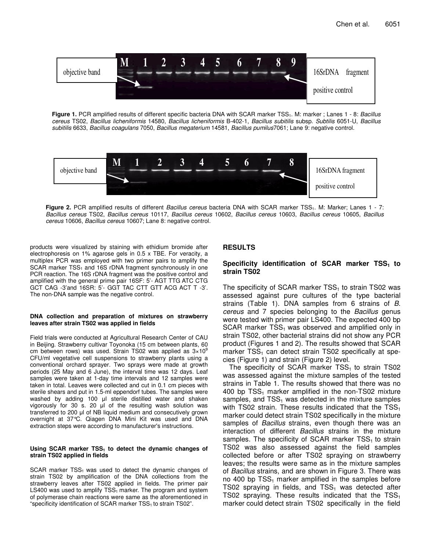

**Figure 1.** PCR amplified results of different specific bacteria DNA with SCAR marker TSS1. M: marker ; Lanes 1 - 8: *Bacillus cereus* TS02, *Bacillus licheniformis* 14580, *Bacillus licheniformis* B-402-1, *Bacillus subitilis* subsp. *Subtilis* 6051-U, *Bacillus subitilis* 6633, *Bacillus coagulans* 7050, *Bacillus megaterium* 14581, *Bacillus pumilus*7061; Lane 9: negative control.



**Figure 2.** PCR amplified results of different *Bacillus cereus* bacteria DNA with SCAR marker TSS1. M: Marker; Lanes 1 - 7: *Bacillus cereus* TS02, *Bacillus cereus* 10117, *Bacillus cereus* 10602, *Bacillus cereus* 10603, *Bacillus cereus* 10605, *Bacillus cereus* 10606, *Bacillus cereus* 10607; Lane 8: negative control.

products were visualized by staining with ethidium bromide after electrophoresis on 1% agarose gels in 0.5 x TBE. For veracity, a multiplex PCR was employed with two primer pairs to amplify the  $SCAR$  marker  $TSS<sub>1</sub>$  and 16S rDNA fragment synchronously in one PCR reaction. The 16S rDNA fragment was the positive control and amplified with the general prime pair 16SF: 5'- AGT TTG ATC CTG GCT CAG -3'and 16SR: 5'- GGT TAC CTT GTT ACG ACT T -3'. The non-DNA sample was the negative control.

#### **DNA collection and preparation of mixtures on strawberry leaves after strain TS02 was applied in fields**

Field trials were conducted at Agricultural Research Center of CAU in Beijing. Strawberry cultivar Toyonoka (15 cm between plants, 60 cm between rows) was used. Strain TS02 was applied as 3×10<sup>9</sup> CFU/ml vegetative cell suspensions to strawberry plants using a conventional orchard sprayer. Two sprays were made at growth periods (25 May and 6 June), the interval time was 12 days. Leaf samples were taken at 1-day time intervals and 12 samples were taken in total. Leaves were collected and cut in 0.1 cm pieces with sterile shears and put in 1.5-ml eppendorf tubes. The samples were washed by adding 100 µl sterile distilled water and shaken vigorously for 30 s. 20  $\mu$  of the resulting wash solution was transferred to 200 µl of NB liquid medium and consecutively grown overnight at 37°C. Qiagen DNA Mini Kit was used and DNA extraction steps were according to manufacturer's instructions.

#### **Using SCAR marker TSS<sup>1</sup> to detect the dynamic changes of strain TS02 applied in fields**

 $SCAR$  marker  $TSS<sub>1</sub>$  was used to detect the dynamic changes of strain TS02 by amplification of the DNA collections from the strawberry leaves after TS02 applied in fields. The primer pair  $LS400$  was used to amplify  $TSS<sub>1</sub>$  marker. The program and system of polymerase chain reactions were same as the aforementioned in "specificity identification of SCAR marker TSS<sub>1</sub> to strain TS02".

# **RESULTS**

# **Specificity identification of SCAR marker TSS<sup>1</sup> to strain TS02**

The specificity of SCAR marker  $TSS<sub>1</sub>$  to strain TS02 was assessed against pure cultures of the type bacterial strains (Table 1). DNA samples from 6 strains of *B. cereus* and 7 species belonging to the *Bacillus* genus were tested with primer pair LS400. The expected 400 bp  $SCAR$  marker  $TSS<sub>1</sub>$  was observed and amplified only in strain TS02, other bacterial strains did not show any PCR product (Figures 1 and 2). The results showed that SCAR marker  $TSS<sub>1</sub>$  can detect strain TS02 specifically at species (Figure 1) and strain (Figure 2) level.

The specificity of SCAR marker  $TSS<sub>1</sub>$  to strain TS02 was assessed against the mixture samples of the tested strains in Table 1. The results showed that there was no 400 bp  $TSS<sub>1</sub>$  marker amplified in the non-TS02 mixture samples, and  $TSS<sub>1</sub>$  was detected in the mixture samples with TS02 strain. These results indicated that the  $TSS<sub>1</sub>$ marker could detect strain TS02 specifically in the mixture samples of *Bacillus* strains, even though there was an interaction of different *Bacillus* strains in the mixture samples. The specificity of SCAR marker  $TSS<sub>1</sub>$  to strain TS02 was also assessed against the field samples collected before or after TS02 spraying on strawberry leaves; the results were same as in the mixture samples of *Bacillus* strains, and are shown in Figure 3. There was no 400 bp  $TSS<sub>1</sub>$  marker amplified in the samples before TS02 spraying in fields, and  $TSS<sub>1</sub>$  was detected after TS02 spraying. These results indicated that the  $TSS<sub>1</sub>$ marker could detect strain TS02 specifically in the field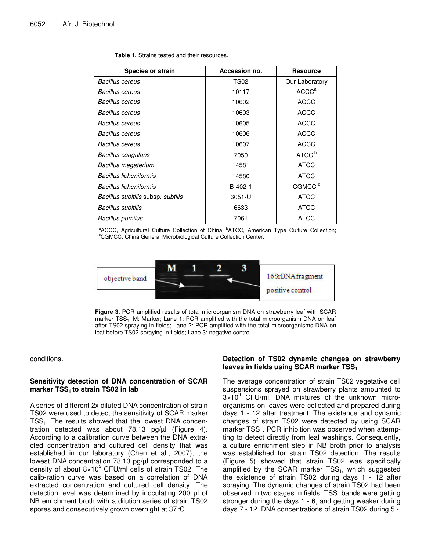|  |  |  |  | <b>Table 1.</b> Strains tested and their resources. |
|--|--|--|--|-----------------------------------------------------|
|--|--|--|--|-----------------------------------------------------|

| <b>Species or strain</b>           | Accession no. | <b>Resource</b>    |
|------------------------------------|---------------|--------------------|
| <b>Bacillus cereus</b>             | <b>TS02</b>   | Our Laboratory     |
| <b>Bacillus cereus</b>             | 10117         | ACCC <sup>a</sup>  |
| Bacillus cereus                    | 10602         | <b>ACCC</b>        |
| <b>Bacillus cereus</b>             | 10603         | <b>ACCC</b>        |
| Bacillus cereus                    | 10605         | <b>ACCC</b>        |
| <b>Bacillus cereus</b>             | 10606         | <b>ACCC</b>        |
| Bacillus cereus                    | 10607         | <b>ACCC</b>        |
| Bacillus coagulans                 | 7050          | ATCC <sup>b</sup>  |
| <b>Bacillus megaterium</b>         | 14581         | <b>ATCC</b>        |
| Bacillus licheniformis             | 14580         | <b>ATCC</b>        |
| Bacillus licheniformis             | B-402-1       | CGMCC <sup>c</sup> |
| Bacillus subitilis subsp. subtilis | 6051-U        | <b>ATCC</b>        |
| Bacillus subitilis                 | 6633          | <b>ATCC</b>        |
| Bacillus pumilus                   | 7061          | <b>ATCC</b>        |

<sup>a</sup>ACCC, Agricultural Culture Collection of China; <sup>b</sup>ATCC, American Type Culture Collection; <sup>c</sup>CGMCC, China General Microbiological Culture Collection Center.



**Figure 3.** PCR amplified results of total microorganism DNA on strawberry leaf with SCAR marker TSS<sub>1</sub>. M: Marker; Lane 1: PCR amplified with the total microorganism DNA on leaf after TS02 spraying in fields; Lane 2: PCR amplified with the total microorganisms DNA on leaf before TS02 spraying in fields; Lane 3: negative control.

conditions.

## **Sensitivity detection of DNA concentration of SCAR marker TSS<sup>1</sup> to strain TS02 in lab**

A series of different 2x diluted DNA concentration of strain TS02 were used to detect the sensitivity of SCAR marker TSS<sub>1</sub>. The results showed that the lowest DNA concentration detected was about 78.13 pg/µl (Figure 4). According to a calibration curve between the DNA extracted concentration and cultured cell density that was established in our laboratory (Chen et al., 2007), the lowest DNA concentration 78.13 pg/µl corresponded to a density of about 8×10<sup>5</sup> CFU/ml cells of strain TS02. The calib-ration curve was based on a correlation of DNA extracted concentration and cultured cell density. The detection level was determined by inoculating 200  $\mu$  of NB enrichment broth with a dilution series of strain TS02 spores and consecutively grown overnight at 37°C.

## **Detection of TS02 dynamic changes on strawberry leaves in fields using SCAR marker TSS<sup>1</sup>**

The average concentration of strain TS02 vegetative cell suspensions sprayed on strawberry plants amounted to 3×10 <sup>9</sup> CFU/ml. DNA mixtures of the unknown microorganisms on leaves were collected and prepared during days 1 - 12 after treatment. The existence and dynamic changes of strain TS02 were detected by using SCAR marker  $TSS<sub>1</sub>$ . PCR inhibition was observed when attempting to detect directly from leaf washings. Consequently, a culture enrichment step in NB broth prior to analysis was established for strain TS02 detection. The results (Figure 5) showed that strain TS02 was specifically amplified by the SCAR marker  $TSS<sub>1</sub>$ , which suggested the existence of strain TS02 during days 1 - 12 after spraying. The dynamic changes of strain TS02 had been observed in two stages in fields:  $TSS<sub>1</sub>$  bands were getting stronger during the days 1 - 6, and getting weaker during days 7 - 12. DNA concentrations of strain TS02 during 5 -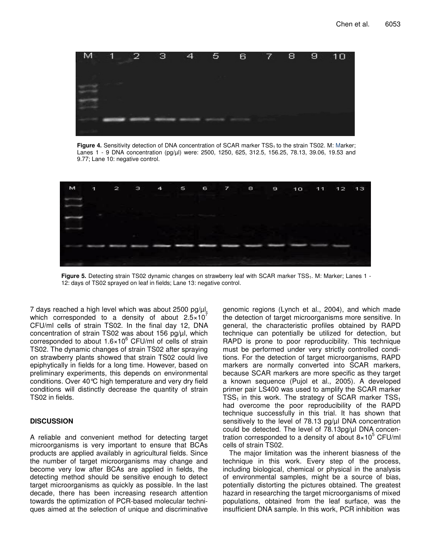

**Figure 4.** Sensitivity detection of DNA concentration of SCAR marker TSS<sub>1</sub> to the strain TS02. M: Marker; Lanes 1 - 9 DNA concentration (pg/µl) were: 2500, 1250, 625, 312.5, 156.25, 78.13, 39.06, 19.53 and 9.77; Lane 10: negative control.



**Figure 5.** Detecting strain TS02 dynamic changes on strawberry leaf with SCAR marker TSS<sub>1</sub>. M: Marker; Lanes 1 -12: days of TS02 sprayed on leaf in fields; Lane 13: negative control.

7 days reached a high level which was about 2500 pg/µl, which corresponded to a density of about 2.5 $\times$ 10<sup>7</sup> CFU/ml cells of strain TS02. In the final day 12, DNA concentration of strain TS02 was about 156 pg/µl, which corresponded to about 1.6×10<sup>6</sup> CFU/ml of cells of strain TS02. The dynamic changes of strain TS02 after spraying on strawberry plants showed that strain TS02 could live epiphytically in fields for a long time. However, based on preliminary experiments, this depends on environmental conditions. Over 40°C high temperature and very dry field conditions will distinctly decrease the quantity of strain TS02 in fields.

# **DISCUSSION**

A reliable and convenient method for detecting target microorganisms is very important to ensure that BCAs products are applied availably in agricultural fields. Since the number of target microorganisms may change and become very low after BCAs are applied in fields, the detecting method should be sensitive enough to detect target microorganisms as quickly as possible. In the last decade, there has been increasing research attention towards the optimization of PCR-based molecular techniques aimed at the selection of unique and discriminative

genomic regions (Lynch et al., 2004), and which made the detection of target microorganisms more sensitive. In general, the characteristic profiles obtained by RAPD technique can potentially be utilized for detection, but RAPD is prone to poor reproducibility. This technique must be performed under very strictly controlled conditions. For the detection of target microorganisms, RAPD markers are normally converted into SCAR markers, because SCAR markers are more specific as they target a known sequence (Pujol et al., 2005). A developed primer pair LS400 was used to amplify the SCAR marker  $TSS<sub>1</sub>$  in this work. The strategy of SCAR marker  $TSS<sub>1</sub>$ had overcome the poor reproducibility of the RAPD technique successfully in this trial. It has shown that sensitively to the level of 78.13 pg/ul DNA concentration could be detected. The level of 78.13pg/µl DNA concentration corresponded to a density of about 8×10 <sup>5</sup> CFU/ml cells of strain TS02.

The major limitation was the inherent biasness of the technique in this work. Every step of the process, including biological, chemical or physical in the analysis of environmental samples, might be a source of bias, potentially distorting the pictures obtained. The greatest hazard in researching the target microorganisms of mixed populations, obtained from the leaf surface, was the insufficient DNA sample. In this work, PCR inhibition was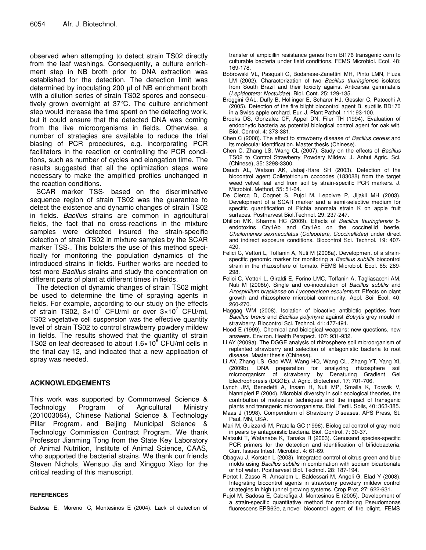observed when attempting to detect strain TS02 directly from the leaf washings. Consequently, a culture enrichment step in NB broth prior to DNA extraction was established for the detection. The detection limit was determined by inoculating 200 µl of NB enrichment broth with a dilution series of strain TS02 spores and consecutively grown overnight at 37°C. The culture enrichment step would increase the time spent on the detecting work, but it could ensure that the detected DNA was coming from the live microorganisms in fields. Otherwise, a number of strategies are available to reduce the trial biasing of PCR procedures, e.g. incorporating PCR facilitators in the reaction or controlling the PCR conditions, such as number of cycles and elongation time. The results suggested that all the optimization steps were necessary to make the amplified profiles unchanged in the reaction conditions.

 $SCAR$  marker  $TSS<sub>1</sub>$  based on the discriminative sequence region of strain TS02 was the guarantee to detect the existence and dynamic changes of strain TS02 in fields. *Bacillus* strains are common in agricultural fields, the fact that no cross-reactions in the mixture samples were detected insured the strain-specific detection of strain TS02 in mixture samples by the SCAR marker  $TSS<sub>1</sub>$ . This bolsters the use of this method specifically for monitoring the population dynamics of the introduced strains in fields. Further works are needed to test more *Bacillus* strains and study the concentration on different parts of plant at different times in fields.

The detection of dynamic changes of strain TS02 might be used to determine the time of spraying agents in fields. For example, according to our study on the effects of strain TS02,  $3\times10^7$  CFU/ml or over  $3\times10^7$  CFU/ml, TS02 vegetative cell suspension was the effective quantity level of strain TS02 to control strawberry powdery mildew in fields. The results showed that the quantity of strain TS02 on leaf decreased to about 1.6×10<sup>6</sup> CFU/ml cells in the final day 12, and indicated that a new application of spray was needed.

# **ACKNOWLEDGEMENTS**

This work was supported by Commonweal Science & Technology Program of Agricultural Ministry (201003064), Chinese National Science & Technology Pillar Program, and Beijing Municipal Science & Technology Commission Contract Program. We thank Professor Jianming Tong from the State Key Laboratory of Animal Nutrition, Institute of Animal Science, CAAS, who supported the bacterial strains. We thank our friends Steven Nichols, Wensuo Jia and Xingguo Xiao for the critical reading of this manuscript.

#### **REFERENCES**

Badosa E, Moreno C, Montesinos E (2004). Lack of detection of

transfer of ampicillin resistance genes from Bt176 transgenic corn to culturable bacteria under field conditions. FEMS Microbiol. Ecol. 48: 169-178.

- Bobrowski VL, Pasquali G, Bodanese-Zanettini MH, Pinto LMN, Fiuza LM (2002). Characterization of two *Bacillus thuringiensis* isolates from South Brazil and their toxicity against Anticarsia gemmatalis (*Lepidoptera: Noctuidae*). Biol. Cont. 25: 129-135.
- Broggini GAL, Duffy B, Hollinger E, Scharer HJ, Gessler C, Patocchi A (2005). Detection of the fire blight biocontrol agent B. subtilis BD170 in a Swiss apple orchard. Eur. J. Plant Pathol. 111: 93-100.
- Brooks DS, Gonzalez CF, Appel DN, Filer TH (1994). Evaluation of endophytic bacteria as potential biological control agent for oak wilt. Biol. Control. 4: 373-381.
- Chen C (2008). The effect to strawberry disease of *Bacillus cereus* and its molecular identification. Master thesis (Chinese).
- Chen C, Zhang LS, Wang CL (2007). Study on the effects of *Bacillus* TS02 to Control Strawberry Powdery Mildew. J. Anhui Agric. Sci. (Chinese), 35: 3298-3300.
- Dauch AL, Watson AK, Jabaji-Hare SH (2003). Detection of the biocontrol agent Colletotrichum coccodes (183088) from the target weed velvet leaf and from soil by strain-specific PCR markers. J. Microbiol. Method, 55: 51-64.
- De Clercq D, Cognet S, Pujol M, Lepoivre P, Jijakli MH (2003). Development of a SCAR marker and a semi-selective medium for specific quantification of Pichia anomala strain K on apple fruit surfaces. Postharvest Biol.Technol. 29: 237-247.
- Dhillon MK, Sharma HC (2009). Effects of *Bacillus thuringiensis* δendotoxins Cry1Ab and Cry1Ac on the coccinellid beetle, *Cheilomenes sexmaculatus* (*Coleoptera, Coccinellidae*) under direct and indirect exposure conditions. Biocontrol Sci. Technol. 19: 407- 420.
- Felici C, Vettori L, Toffanin A, Nuti M (2008a). Development of a strainspecific genomic marker for monitoring a *Bacillus subtilis* biocontrol strain in the rhizosphere of tomato. FEMS Microbiol. Ecol. 65: 289- 298.
- Felici C, Vettori L, Giraldi E, Forino LMC, Toffanin A, Tagliasacchi AM, Nuti M (2008b). Single and co-inoculation of *Bacillus subtilis* and *Azospirillum brasilense* on *Lycopersicon esculentum*: Effects on plant growth and rhizosphere microbial community. Appl. Soil Ecol. 40: 260-270.
- Haggag WM (2008). Isolation of bioactive antibiotic peptides from *Bacillus brevis* and *Bacillus polymyxa* against *Botrytis* grey mould in strawberry. Biocontrol Sci. Technol. 41: 477-491.
- Hood E (1999). Chemical and biological weapons: new questions, new answers. Environ. Health Perspect. 107: 931-932.
- Li AY (2009a). The DGGE analysis of rhizosphere soil microorganism of replanted strawberry and selection of antagonistic bacteria to root disease. Master thesis (Chinese).
- Li AY, Zhang LS, Gao WW, Wang HQ, Wang CL, Zhang YT, Yang XL (2009b). DNA preparation for analyzing rhizosphere soil microorganism of strawberry by Denaturing Gradient Gel Electrophoresis (DGGE). J. Agric. Biotechnol. 17: 701-706.
- Lynch JM, Benedetti A, Insam H, Nuti MP, Smalla K, Torsvik V, Nannipieri P (2004). Microbial diversity in soil: ecological theories, the contribution of molecular techniques and the impact of transgenic plants and transgenic microorganisms. Biol. Fertil. Soils, 40: 363-385.
- Maas J (1998). Compendium of Strawberry Diseases. APS Press, St. Paul, MN, USA.
- Mari M, Guizzardi M, Pratella GC (1996). Biological control of gray mold in pears by antagonistic bacteria. Biol. Control. 7: 30-37.
- Matsuki T, Watanabe K, Tanaka R (2003). Genusand species-specific PCR primers for the detection and identification of bifidobacteria. Curr. Issues Intest. Microbiol. 4: 61-69.
- Obagwu J, Korsten L (2003). Integrated control of citrus green and blue molds using *Bacillus subtilis* in combination with sodium bicarbonate or hot water. Postharvest Biol. Technol. 28: 187-194.
- Pertot I, Zasso R, Amsalem L, Baldessari M, Angeli G, Elad Y (2008). Integrating biocontrol agents in strawberry powdery mildew control strategies in high tunnel growing systems. Crop Prot. 27: 622-631.
- Pujol M, Badosa E, Cabrefiga J, Montesinos E (2005). Development of a strain-specific quantitative method for monitoring Pseudomonas fluorescens EPS62e, a novel biocontrol agent of fire blight. FEMS